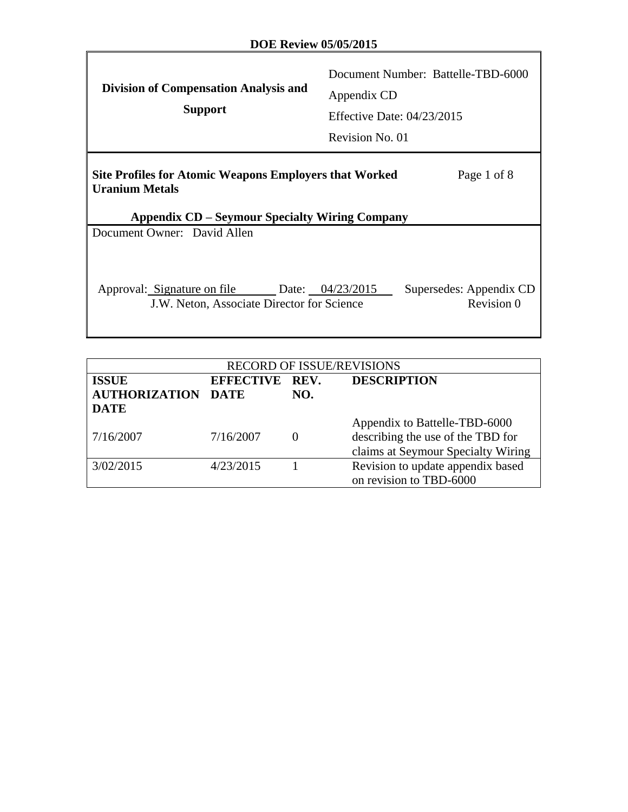$\Gamma$ 

| <b>Division of Compensation Analysis and</b><br><b>Support</b>                                                                           | Document Number: Battelle-TBD-6000<br>Appendix CD<br>Effective Date: $04/23/2015$<br>Revision No. 01 |
|------------------------------------------------------------------------------------------------------------------------------------------|------------------------------------------------------------------------------------------------------|
| Site Profiles for Atomic Weapons Employers that Worked<br><b>Uranium Metals</b><br><b>Appendix CD – Seymour Specialty Wiring Company</b> | Page 1 of 8                                                                                          |
| Document Owner: David Allen                                                                                                              |                                                                                                      |
| Approval: Signature on file Date: 04/23/2015<br>J.W. Neton, Associate Director for Science                                               | Supersedes: Appendix CD<br>Revision 0                                                                |

| <b>RECORD OF ISSUE/REVISIONS</b>     |                |     |                                    |  |  |  |
|--------------------------------------|----------------|-----|------------------------------------|--|--|--|
| <b>ISSUE</b><br><b>AUTHORIZATION</b> | EFFECTIVE REV. |     | <b>DESCRIPTION</b>                 |  |  |  |
| <b>DATE</b>                          | DATE           | NO. |                                    |  |  |  |
|                                      |                |     | Appendix to Battelle-TBD-6000      |  |  |  |
| 7/16/2007                            | 7/16/2007      |     | describing the use of the TBD for  |  |  |  |
|                                      |                |     | claims at Seymour Specialty Wiring |  |  |  |
| 3/02/2015                            | 4/23/2015      |     | Revision to update appendix based  |  |  |  |
|                                      |                |     | on revision to TBD-6000            |  |  |  |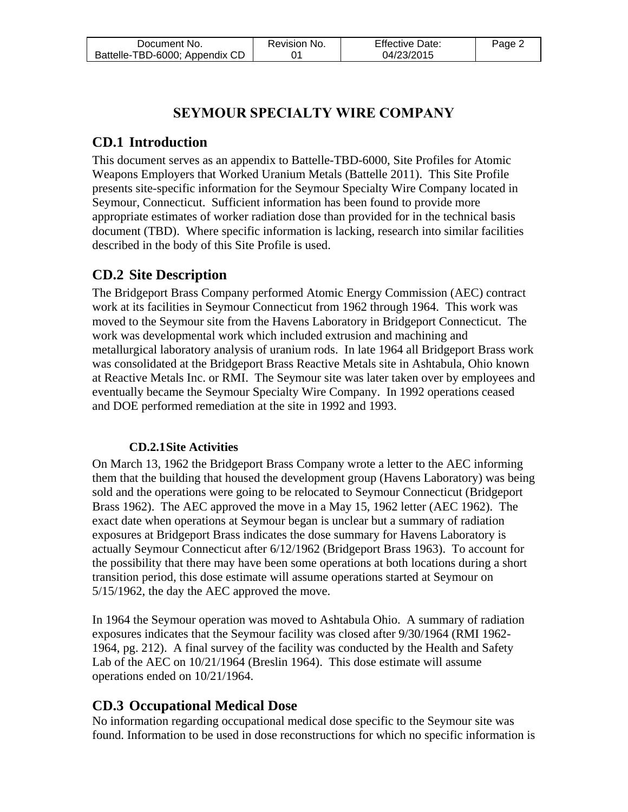| Document No.                   | Revision No. | <b>Effective Date:</b> | Page 2 |
|--------------------------------|--------------|------------------------|--------|
| Battelle-TBD-6000; Appendix CD |              | 04/23/2015             |        |

## **SEYMOUR SPECIALTY WIRE COMPANY**

## **CD.1 Introduction**

This document serves as an appendix to Battelle-TBD-6000, Site Profiles for Atomic Weapons Employers that Worked Uranium Metals (Battelle 2011). This Site Profile presents site-specific information for the Seymour Specialty Wire Company located in Seymour, Connecticut. Sufficient information has been found to provide more appropriate estimates of worker radiation dose than provided for in the technical basis document (TBD). Where specific information is lacking, research into similar facilities described in the body of this Site Profile is used.

# **CD.2 Site Description**

The Bridgeport Brass Company performed Atomic Energy Commission (AEC) contract work at its facilities in Seymour Connecticut from 1962 through 1964. This work was moved to the Seymour site from the Havens Laboratory in Bridgeport Connecticut. The work was developmental work which included extrusion and machining and metallurgical laboratory analysis of uranium rods. In late 1964 all Bridgeport Brass work was consolidated at the Bridgeport Brass Reactive Metals site in Ashtabula, Ohio known at Reactive Metals Inc. or RMI. The Seymour site was later taken over by employees and eventually became the Seymour Specialty Wire Company. In 1992 operations ceased and DOE performed remediation at the site in 1992 and 1993.

#### **CD.2.1Site Activities**

On March 13, 1962 the Bridgeport Brass Company wrote a letter to the AEC informing them that the building that housed the development group (Havens Laboratory) was being sold and the operations were going to be relocated to Seymour Connecticut (Bridgeport Brass 1962). The AEC approved the move in a May 15, 1962 letter (AEC 1962). The exact date when operations at Seymour began is unclear but a summary of radiation exposures at Bridgeport Brass indicates the dose summary for Havens Laboratory is actually Seymour Connecticut after 6/12/1962 (Bridgeport Brass 1963). To account for the possibility that there may have been some operations at both locations during a short transition period, this dose estimate will assume operations started at Seymour on 5/15/1962, the day the AEC approved the move.

In 1964 the Seymour operation was moved to Ashtabula Ohio. A summary of radiation exposures indicates that the Seymour facility was closed after 9/30/1964 (RMI 1962- 1964, pg. 212). A final survey of the facility was conducted by the Health and Safety Lab of the AEC on 10/21/1964 (Breslin 1964). This dose estimate will assume operations ended on 10/21/1964.

# **CD.3 Occupational Medical Dose**

No information regarding occupational medical dose specific to the Seymour site was found. Information to be used in dose reconstructions for which no specific information is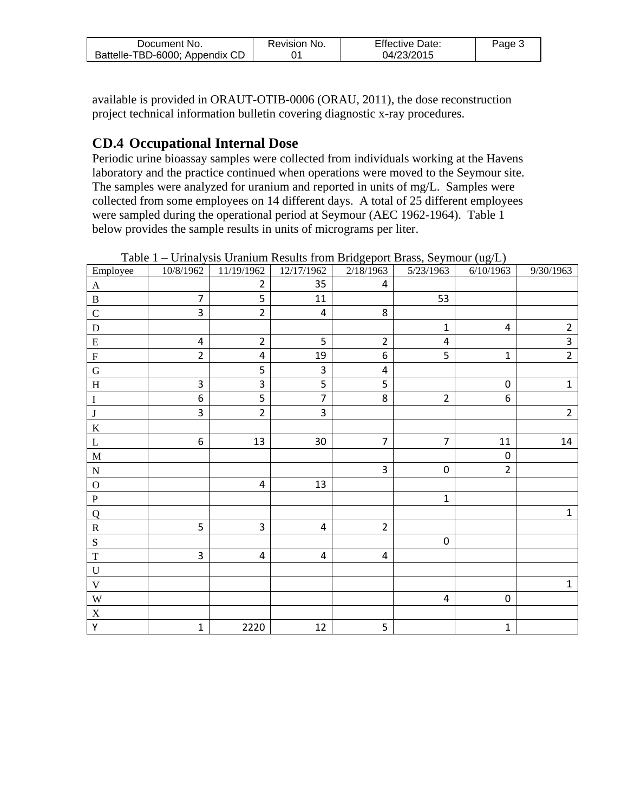| Document No.                   | Revision No. | <b>Effective Date:</b> | Page 3 |
|--------------------------------|--------------|------------------------|--------|
| Battelle-TBD-6000; Appendix CD |              | 04/23/2015             |        |

available is provided in ORAUT-OTIB-0006 (ORAU, 2011), the dose reconstruction project technical information bulletin covering diagnostic x-ray procedures.

### **CD.4 Occupational Internal Dose**

Periodic urine bioassay samples were collected from individuals working at the Havens laboratory and the practice continued when operations were moved to the Seymour site. The samples were analyzed for uranium and reported in units of mg/L. Samples were collected from some employees on 14 different days. A total of 25 different employees were sampled during the operational period at Seymour (AEC 1962-1964). Table 1 below provides the sample results in units of micrograms per liter.

| Employee                  | 10/8/1962        | 11/19/1962              | 12/17/1962              | 2/18/1963               | 5/23/1963      | 6/10/1963        | 9/30/1963      |
|---------------------------|------------------|-------------------------|-------------------------|-------------------------|----------------|------------------|----------------|
| $\mathbf{A}$              |                  | $\overline{2}$          | 35                      | $\overline{\mathbf{4}}$ |                |                  |                |
| $\, {\bf B}$              | $\overline{7}$   | 5                       | 11                      |                         | 53             |                  |                |
| $\mathsf{C}$              | 3                | $\overline{2}$          | $\overline{\mathbf{4}}$ | 8                       |                |                  |                |
| $\mathbf D$               |                  |                         |                         |                         | $\mathbf{1}$   | $\pmb{4}$        | $\overline{2}$ |
| ${\bf E}$                 | $\overline{4}$   | $\overline{2}$          | 5                       | $\mathbf 2$             | $\pmb{4}$      |                  | $\overline{3}$ |
| $\boldsymbol{\mathrm{F}}$ | $\overline{2}$   | $\overline{\mathbf{4}}$ | 19                      | $6\,$                   | 5              | $\mathbf 1$      | $\overline{2}$ |
| $\mathbf G$               |                  | 5                       | $\mathbf{3}$            | 4                       |                |                  |                |
| $\, {\rm H}$              | 3                | 3                       | 5                       | 5                       |                | $\pmb{0}$        | $\mathbf 1$    |
| $\bf I$                   | 6                | 5                       | $\overline{7}$          | 8                       | $\overline{2}$ | 6                |                |
| $\bf J$                   | 3                | $\overline{2}$          | $\overline{3}$          |                         |                |                  | $\overline{2}$ |
| $\rm K$                   |                  |                         |                         |                         |                |                  |                |
| $\mathbf L$               | $\boldsymbol{6}$ | 13                      | 30                      | $\overline{7}$          | $\overline{7}$ | 11               | 14             |
| $\mathbf M$               |                  |                         |                         |                         |                | $\boldsymbol{0}$ |                |
| ${\bf N}$                 |                  |                         |                         | 3                       | $\pmb{0}$      | $\overline{2}$   |                |
| $\overline{O}$            |                  | $\overline{\mathbf{4}}$ | 13                      |                         |                |                  |                |
| ${\bf P}$                 |                  |                         |                         |                         | $\mathbf{1}$   |                  |                |
| $\overline{Q}$            |                  |                         |                         |                         |                |                  | $\mathbf{1}$   |
| ${\bf R}$                 | 5                | 3                       | $\pmb{4}$               | $\overline{2}$          |                |                  |                |
| $\overline{\mathbf{S}}$   |                  |                         |                         |                         | $\pmb{0}$      |                  |                |
| $\mathbf T$               | 3                | $\overline{\mathbf{4}}$ | $\pmb{4}$               | $\pmb{4}$               |                |                  |                |
| $\mathbf U$               |                  |                         |                         |                         |                |                  |                |
| $\ensuremath{\mathsf{V}}$ |                  |                         |                         |                         |                |                  | $\mathbf{1}$   |
| $\ensuremath{\text{W}}$   |                  |                         |                         |                         | $\pmb{4}$      | $\pmb{0}$        |                |
| $\mathbf X$               |                  |                         |                         |                         |                |                  |                |
| $\overline{Y}$            | $\mathbf 1$      | 2220                    | 12                      | 5                       |                | $\mathbf 1$      |                |

Table 1 – Urinalysis Uranium Results from Bridgeport Brass, Seymour (ug/L)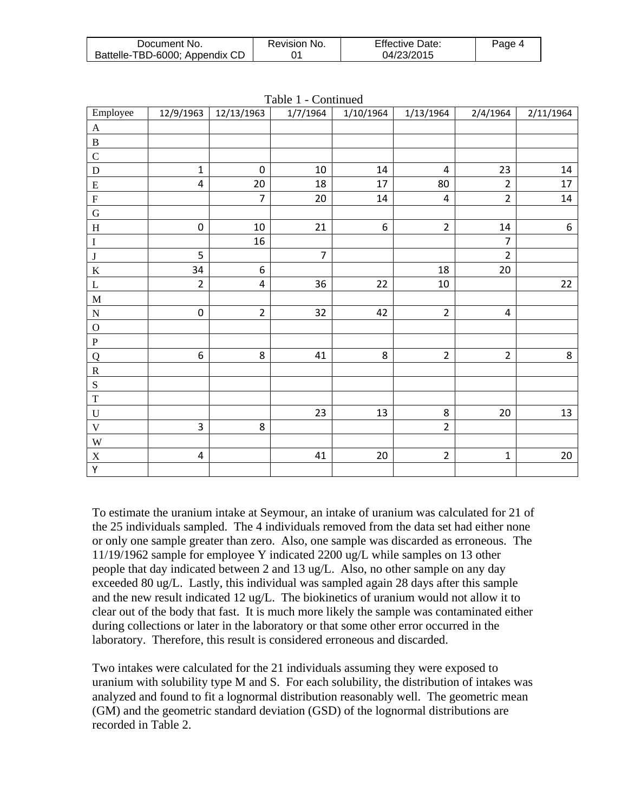| Document No.                   | Revision No. | <b>Effective Date:</b> | Page 4 |
|--------------------------------|--------------|------------------------|--------|
| Battelle-TBD-6000; Appendix CD |              | 04/23/2015             |        |

| Employee                  | 12/9/1963      | 12/13/1963       | 1/7/1964       | 1/10/1964        | 1/13/1964      | 2/4/1964       | 2/11/1964 |
|---------------------------|----------------|------------------|----------------|------------------|----------------|----------------|-----------|
| $\mathbf{A}$              |                |                  |                |                  |                |                |           |
| $\, {\bf B}$              |                |                  |                |                  |                |                |           |
| $\mathsf{C}$              |                |                  |                |                  |                |                |           |
| ${\bf D}$                 | $\mathbf 1$    | $\pmb{0}$        | $10\,$         | $14\,$           | $\sqrt{4}$     | 23             | 14        |
| ${\bf E}$                 | $\pmb{4}$      | 20               | 18             | 17               | 80             | $\overline{2}$ | $17\,$    |
| ${\bf F}$                 |                | $\overline{7}$   | 20             | 14               | $\overline{4}$ | $\overline{2}$ | 14        |
| $\mathbf G$               |                |                  |                |                  |                |                |           |
| $\boldsymbol{\mathrm{H}}$ | $\mathbf 0$    | $10\,$           | 21             | $\boldsymbol{6}$ | $\overline{2}$ | $14\,$         | $6\,$     |
| $\bf I$                   |                | 16               |                |                  |                | $\overline{7}$ |           |
| $\bf J$                   | 5              |                  | $\overline{7}$ |                  |                | $\overline{2}$ |           |
| $\bf K$                   | 34             | $\boldsymbol{6}$ |                |                  | 18             | 20             |           |
| $\mathbf L$               | $\overline{2}$ | $\overline{4}$   | 36             | 22               | 10             |                | 22        |
| $\mathbf M$               |                |                  |                |                  |                |                |           |
| ${\bf N}$                 | $\mathbf 0$    | $\overline{2}$   | 32             | 42               | $\overline{2}$ | $\overline{4}$ |           |
| $\mathbf O$               |                |                  |                |                  |                |                |           |
| $\, {\bf P}$              |                |                  |                |                  |                |                |           |
| Q                         | 6              | 8                | 41             | 8                | $\overline{2}$ | $\overline{2}$ | 8         |
| ${\bf R}$                 |                |                  |                |                  |                |                |           |
| ${\bf S}$                 |                |                  |                |                  |                |                |           |
| $\mathbf T$               |                |                  |                |                  |                |                |           |
| ${\bf U}$                 |                |                  | 23             | 13               | 8              | $20\,$         | 13        |
| $\mathbf V$               | 3              | $\bf 8$          |                |                  | $\overline{2}$ |                |           |
| $\mathbf W$               |                |                  |                |                  |                |                |           |
| $\mathbf X$               | $\pmb{4}$      |                  | 41             | 20               | $\overline{2}$ | $\mathbf{1}$   | 20        |
| $\overline{Y}$            |                |                  |                |                  |                |                |           |

|  |  | Table 1 - Continued |
|--|--|---------------------|
|--|--|---------------------|

To estimate the uranium intake at Seymour, an intake of uranium was calculated for 21 of the 25 individuals sampled. The 4 individuals removed from the data set had either none or only one sample greater than zero. Also, one sample was discarded as erroneous. The 11/19/1962 sample for employee Y indicated 2200 ug/L while samples on 13 other people that day indicated between 2 and 13 ug/L. Also, no other sample on any day exceeded 80 ug/L. Lastly, this individual was sampled again 28 days after this sample and the new result indicated 12 ug/L. The biokinetics of uranium would not allow it to clear out of the body that fast. It is much more likely the sample was contaminated either during collections or later in the laboratory or that some other error occurred in the laboratory. Therefore, this result is considered erroneous and discarded.

Two intakes were calculated for the 21 individuals assuming they were exposed to uranium with solubility type M and S. For each solubility, the distribution of intakes was analyzed and found to fit a lognormal distribution reasonably well. The geometric mean (GM) and the geometric standard deviation (GSD) of the lognormal distributions are recorded in Table 2.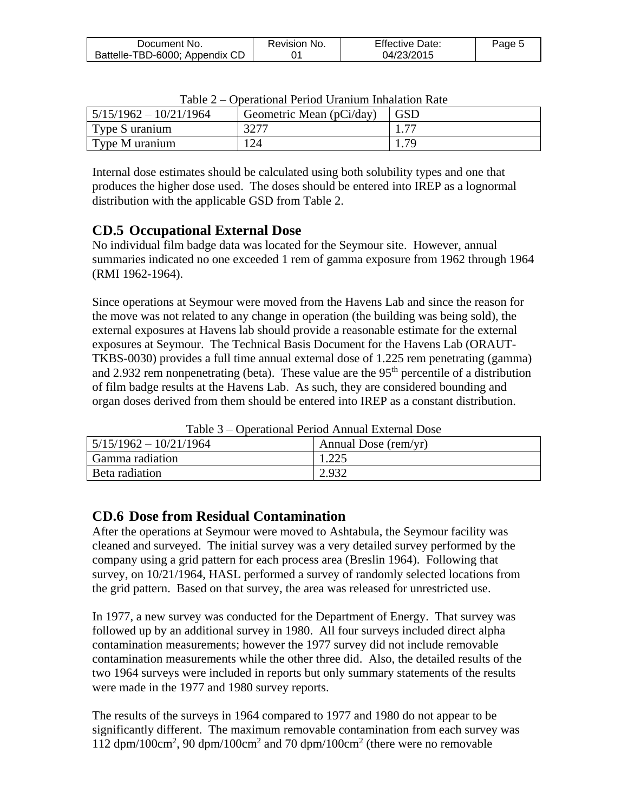| Document No.                   | Revision No. | <b>Effective Date:</b> | Page 5 |
|--------------------------------|--------------|------------------------|--------|
| Battelle-TBD-6000; Appendix CD |              | 04/23/2015             |        |

| $\sim$ we $\sim$<br>operational I ence chainvill millante di Rate |                          |    |  |
|-------------------------------------------------------------------|--------------------------|----|--|
| $15/15/1962 - 10/21/1964$                                         | Geometric Mean (pCi/day) |    |  |
| Type S uranium                                                    | 3277                     | 75 |  |
| Type M uranium                                                    | 124                      | 70 |  |

Table 2 – Operational Period Uranium Inhalation Rate

Internal dose estimates should be calculated using both solubility types and one that produces the higher dose used. The doses should be entered into IREP as a lognormal distribution with the applicable GSD from Table 2.

## **CD.5 Occupational External Dose**

No individual film badge data was located for the Seymour site. However, annual summaries indicated no one exceeded 1 rem of gamma exposure from 1962 through 1964 (RMI 1962-1964).

Since operations at Seymour were moved from the Havens Lab and since the reason for the move was not related to any change in operation (the building was being sold), the external exposures at Havens lab should provide a reasonable estimate for the external exposures at Seymour. The Technical Basis Document for the Havens Lab (ORAUT-TKBS-0030) provides a full time annual external dose of 1.225 rem penetrating (gamma) and 2.932 rem nonpenetrating (beta). These value are the  $95<sup>th</sup>$  percentile of a distribution of film badge results at the Havens Lab. As such, they are considered bounding and organ doses derived from them should be entered into IREP as a constant distribution.

| Table 5 – Oberational Period Annual External Dose |                      |  |  |
|---------------------------------------------------|----------------------|--|--|
| $5/15/1962 - 10/21/1964$                          | Annual Dose (rem/yr) |  |  |
| Gamma radiation                                   |                      |  |  |
| Beta radiation                                    | 2.932                |  |  |

Table 3 – Operational Period Annual External Dose

#### **CD.6 Dose from Residual Contamination**

After the operations at Seymour were moved to Ashtabula, the Seymour facility was cleaned and surveyed. The initial survey was a very detailed survey performed by the company using a grid pattern for each process area (Breslin 1964). Following that survey, on 10/21/1964, HASL performed a survey of randomly selected locations from the grid pattern. Based on that survey, the area was released for unrestricted use.

In 1977, a new survey was conducted for the Department of Energy. That survey was followed up by an additional survey in 1980. All four surveys included direct alpha contamination measurements; however the 1977 survey did not include removable contamination measurements while the other three did. Also, the detailed results of the two 1964 surveys were included in reports but only summary statements of the results were made in the 1977 and 1980 survey reports.

The results of the surveys in 1964 compared to 1977 and 1980 do not appear to be significantly different. The maximum removable contamination from each survey was 112 dpm/100cm<sup>2</sup> , 90 dpm/100cm<sup>2</sup> and 70 dpm/100cm<sup>2</sup> (there were no removable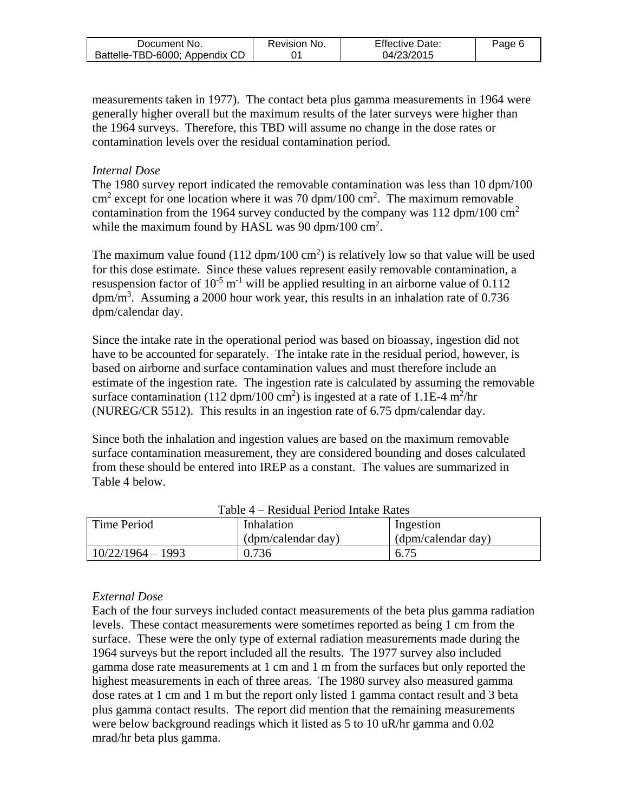| Document No.                   | Revision No. | <b>Effective Date:</b> | Page 6 |
|--------------------------------|--------------|------------------------|--------|
| Battelle-TBD-6000; Appendix CD |              | 04/23/2015             |        |

measurements taken in 1977). The contact beta plus gamma measurements in 1964 were generally higher overall but the maximum results of the later surveys were higher than the 1964 surveys. Therefore, this TBD will assume no change in the dose rates or contamination levels over the residual contamination period.

#### *Internal Dose*

The 1980 survey report indicated the removable contamination was less than 10 dpm/100  $\text{cm}^2$  except for one location where it was 70 dpm/100 cm<sup>2</sup>. The maximum removable contamination from the 1964 survey conducted by the company was  $112 \text{ dpm}/100 \text{ cm}^2$ while the maximum found by HASL was 90 dpm/100  $\text{cm}^2$ .

The maximum value found  $(112 \text{ dpm}/100 \text{ cm}^2)$  is relatively low so that value will be used for this dose estimate. Since these values represent easily removable contamination, a resuspension factor of  $10^{-5}$  m<sup>-1</sup> will be applied resulting in an airborne value of 0.112  $dpm/m<sup>3</sup>$ . Assuming a 2000 hour work year, this results in an inhalation rate of 0.736 dpm/calendar day.

Since the intake rate in the operational period was based on bioassay, ingestion did not have to be accounted for separately. The intake rate in the residual period, however, is based on airborne and surface contamination values and must therefore include an estimate of the ingestion rate. The ingestion rate is calculated by assuming the removable surface contamination (112 dpm/100 cm<sup>2</sup>) is ingested at a rate of 1.1E-4 m<sup>2</sup>/hr (NUREG/CR 5512). This results in an ingestion rate of 6.75 dpm/calendar day.

Since both the inhalation and ingestion values are based on the maximum removable surface contamination measurement, they are considered bounding and doses calculated from these should be entered into IREP as a constant. The values are summarized in Table 4 below.

| Time Period         | Inhalation         | Ingestion          |
|---------------------|--------------------|--------------------|
|                     | (dpm/calendar day) | (dpm/calendar day) |
| $10/22/1964 - 1993$ | 0.736              | 6.75               |

#### Table 4 – Residual Period Intake Rates

#### *External Dose*

Each of the four surveys included contact measurements of the beta plus gamma radiation levels. These contact measurements were sometimes reported as being 1 cm from the surface. These were the only type of external radiation measurements made during the 1964 surveys but the report included all the results. The 1977 survey also included gamma dose rate measurements at 1 cm and 1 m from the surfaces but only reported the highest measurements in each of three areas. The 1980 survey also measured gamma dose rates at 1 cm and 1 m but the report only listed 1 gamma contact result and 3 beta plus gamma contact results. The report did mention that the remaining measurements were below background readings which it listed as 5 to 10 uR/hr gamma and 0.02 mrad/hr beta plus gamma.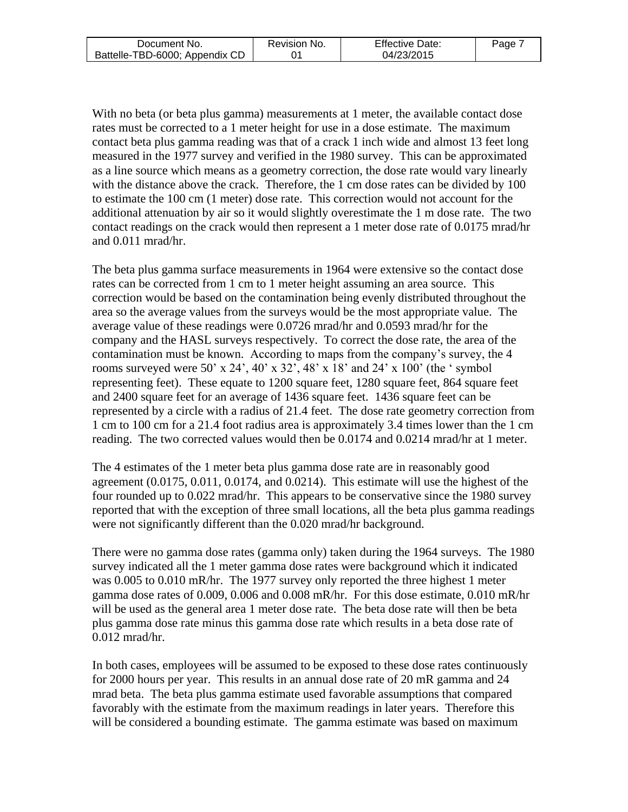| Document No.                   | Revision No. | <b>Effective Date:</b> | Page |
|--------------------------------|--------------|------------------------|------|
| Battelle-TBD-6000; Appendix CD |              | 04/23/2015             |      |

With no beta (or beta plus gamma) measurements at 1 meter, the available contact dose rates must be corrected to a 1 meter height for use in a dose estimate. The maximum contact beta plus gamma reading was that of a crack 1 inch wide and almost 13 feet long measured in the 1977 survey and verified in the 1980 survey. This can be approximated as a line source which means as a geometry correction, the dose rate would vary linearly with the distance above the crack. Therefore, the 1 cm dose rates can be divided by 100 to estimate the 100 cm (1 meter) dose rate. This correction would not account for the additional attenuation by air so it would slightly overestimate the 1 m dose rate. The two contact readings on the crack would then represent a 1 meter dose rate of 0.0175 mrad/hr and 0.011 mrad/hr.

The beta plus gamma surface measurements in 1964 were extensive so the contact dose rates can be corrected from 1 cm to 1 meter height assuming an area source. This correction would be based on the contamination being evenly distributed throughout the area so the average values from the surveys would be the most appropriate value. The average value of these readings were 0.0726 mrad/hr and 0.0593 mrad/hr for the company and the HASL surveys respectively. To correct the dose rate, the area of the contamination must be known. According to maps from the company's survey, the 4 rooms surveyed were 50' x 24', 40' x 32', 48' x 18' and 24' x 100' (the ' symbol representing feet). These equate to 1200 square feet, 1280 square feet, 864 square feet and 2400 square feet for an average of 1436 square feet. 1436 square feet can be represented by a circle with a radius of 21.4 feet. The dose rate geometry correction from 1 cm to 100 cm for a 21.4 foot radius area is approximately 3.4 times lower than the 1 cm reading. The two corrected values would then be 0.0174 and 0.0214 mrad/hr at 1 meter.

The 4 estimates of the 1 meter beta plus gamma dose rate are in reasonably good agreement (0.0175, 0.011, 0.0174, and 0.0214). This estimate will use the highest of the four rounded up to 0.022 mrad/hr. This appears to be conservative since the 1980 survey reported that with the exception of three small locations, all the beta plus gamma readings were not significantly different than the 0.020 mrad/hr background.

There were no gamma dose rates (gamma only) taken during the 1964 surveys. The 1980 survey indicated all the 1 meter gamma dose rates were background which it indicated was 0.005 to 0.010 mR/hr. The 1977 survey only reported the three highest 1 meter gamma dose rates of 0.009, 0.006 and 0.008 mR/hr. For this dose estimate, 0.010 mR/hr will be used as the general area 1 meter dose rate. The beta dose rate will then be beta plus gamma dose rate minus this gamma dose rate which results in a beta dose rate of 0.012 mrad/hr.

In both cases, employees will be assumed to be exposed to these dose rates continuously for 2000 hours per year. This results in an annual dose rate of 20 mR gamma and 24 mrad beta. The beta plus gamma estimate used favorable assumptions that compared favorably with the estimate from the maximum readings in later years. Therefore this will be considered a bounding estimate. The gamma estimate was based on maximum